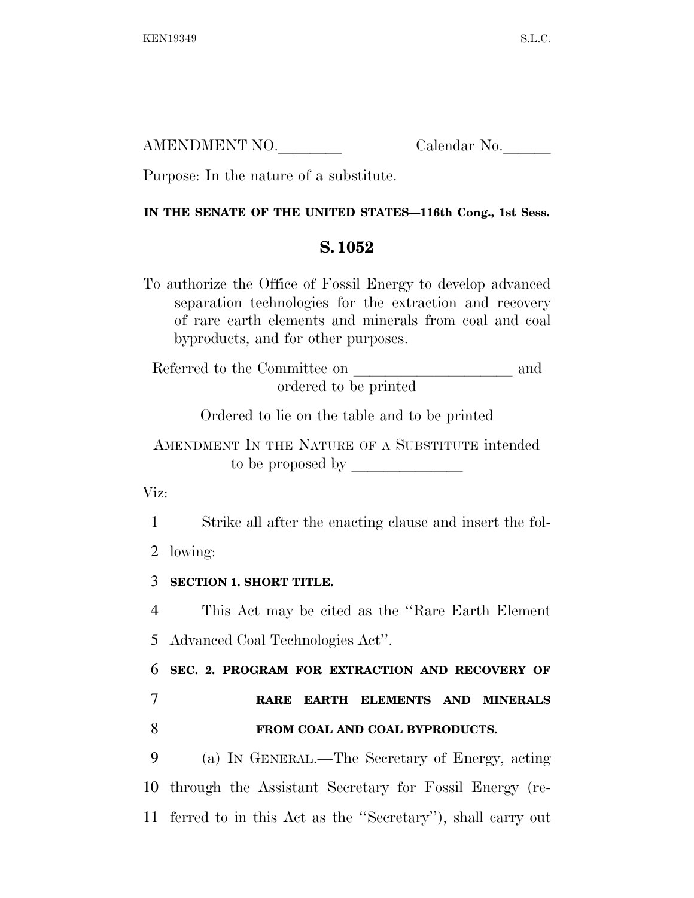| AMENDMENT NO. | Calendar No. |
|---------------|--------------|
|               |              |

Purpose: In the nature of a substitute.

## **IN THE SENATE OF THE UNITED STATES—116th Cong., 1st Sess.**

## **S. 1052**

To authorize the Office of Fossil Energy to develop advanced separation technologies for the extraction and recovery of rare earth elements and minerals from coal and coal byproducts, and for other purposes.

Referred to the Committee on and ordered to be printed

Ordered to lie on the table and to be printed

AMENDMENT IN THE NATURE OF A SUBSTITUTE intended to be proposed by  $\overline{\phantom{a}}$ 

Viz:

1 Strike all after the enacting clause and insert the fol-

2 lowing:

3 **SECTION 1. SHORT TITLE.** 

4 This Act may be cited as the ''Rare Earth Element

5 Advanced Coal Technologies Act''.

6 **SEC. 2. PROGRAM FOR EXTRACTION AND RECOVERY OF** 

7 **RARE EARTH ELEMENTS AND MINERALS**  8 **FROM COAL AND COAL BYPRODUCTS.** 

9 (a) IN GENERAL.—The Secretary of Energy, acting 10 through the Assistant Secretary for Fossil Energy (re-11 ferred to in this Act as the ''Secretary''), shall carry out